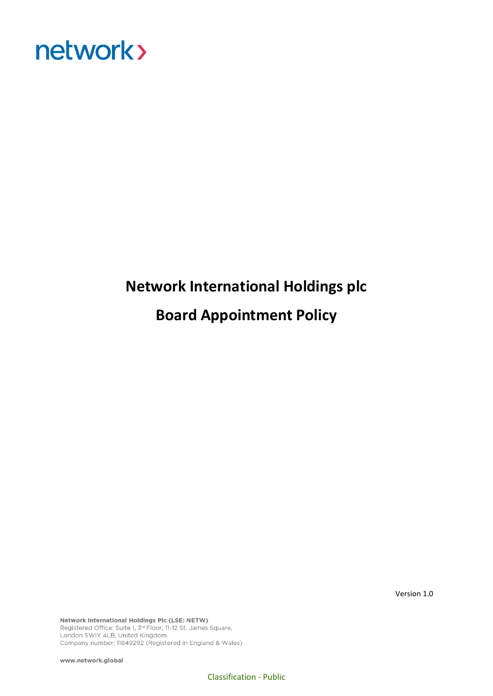

## **Network International Holdings plc Board Appointment Policy**

Version 1.0

Network International Holdings Plc (LSE: NETW) Registered Office: Suite 1, 3<sup>rd</sup> Floor, 11-12 St. James Square, London SWIY 4LB, United Kingdom Company number: 11849292 (Registered in England & Wales)